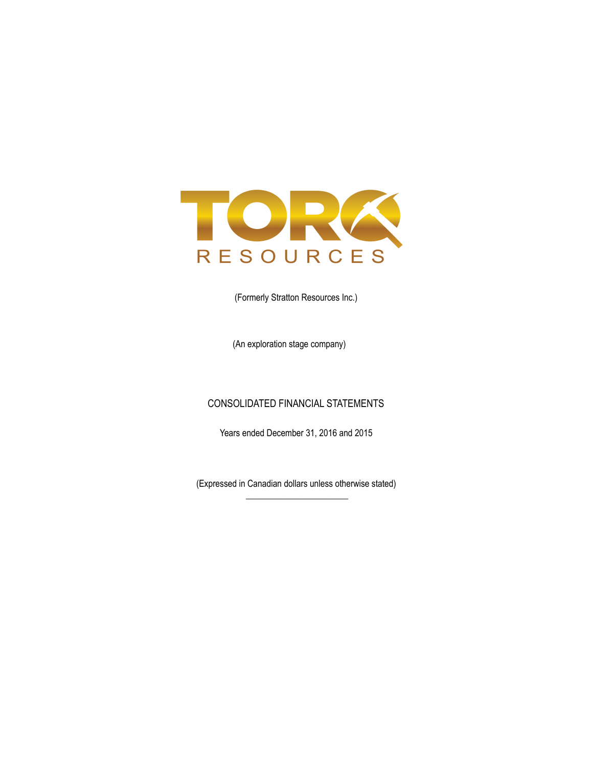

(Formerly Stratton Resources Inc.)

(An exploration stage company)

#### CONSOLIDATED FINANCIAL STATEMENTS

Years ended December 31, 2016 and 2015

(Expressed in Canadian dollars unless otherwise stated)  $\overline{\phantom{a}}$  , where the contract of the contract of the contract of the contract of the contract of the contract of the contract of the contract of the contract of the contract of the contract of the contract of the contr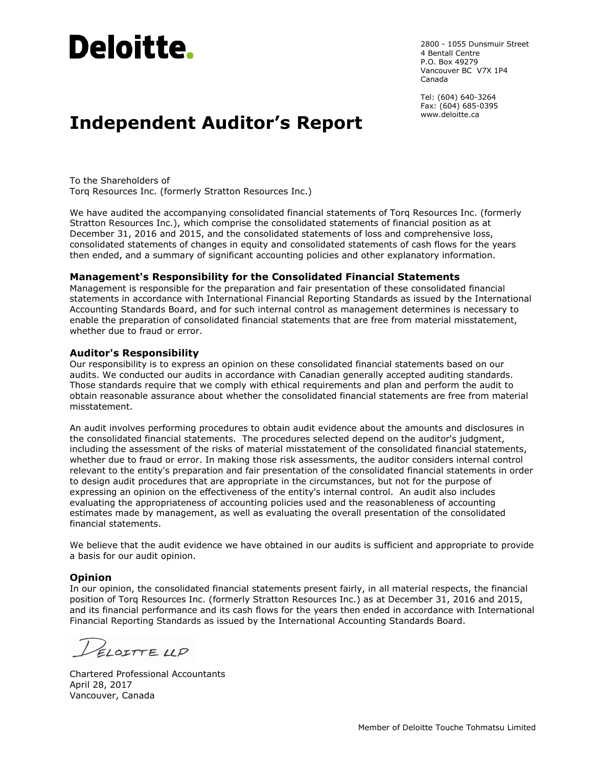# **Deloitte.**

2800 - 1055 Dunsmuir Street 4 Bentall Centre P.O. Box 49279 Vancouver BC V7X 1P4 Canada

Tel: (604) 640-3264 Fax: (604) 685-0395

## www.deloitte.ca **Independent Auditor's Report**

To the Shareholders of Torq Resources Inc. (formerly Stratton Resources Inc.)

We have audited the accompanying consolidated financial statements of Torq Resources Inc. (formerly Stratton Resources Inc.), which comprise the consolidated statements of financial position as at December 31, 2016 and 2015, and the consolidated statements of loss and comprehensive loss, consolidated statements of changes in equity and consolidated statements of cash flows for the years then ended, and a summary of significant accounting policies and other explanatory information.

#### **Management's Responsibility for the Consolidated Financial Statements**

Management is responsible for the preparation and fair presentation of these consolidated financial statements in accordance with International Financial Reporting Standards as issued by the International Accounting Standards Board, and for such internal control as management determines is necessary to enable the preparation of consolidated financial statements that are free from material misstatement, whether due to fraud or error.

#### **Auditor's Responsibility**

Our responsibility is to express an opinion on these consolidated financial statements based on our audits. We conducted our audits in accordance with Canadian generally accepted auditing standards. Those standards require that we comply with ethical requirements and plan and perform the audit to obtain reasonable assurance about whether the consolidated financial statements are free from material misstatement.

An audit involves performing procedures to obtain audit evidence about the amounts and disclosures in the consolidated financial statements. The procedures selected depend on the auditor's judgment, including the assessment of the risks of material misstatement of the consolidated financial statements, whether due to fraud or error. In making those risk assessments, the auditor considers internal control relevant to the entity's preparation and fair presentation of the consolidated financial statements in order to design audit procedures that are appropriate in the circumstances, but not for the purpose of expressing an opinion on the effectiveness of the entity's internal control. An audit also includes evaluating the appropriateness of accounting policies used and the reasonableness of accounting estimates made by management, as well as evaluating the overall presentation of the consolidated financial statements.

We believe that the audit evidence we have obtained in our audits is sufficient and appropriate to provide a basis for our audit opinion.

#### **Opinion**

In our opinion, the consolidated financial statements present fairly, in all material respects, the financial position of Torq Resources Inc. (formerly Stratton Resources Inc.) as at December 31, 2016 and 2015, and its financial performance and its cash flows for the years then ended in accordance with International Financial Reporting Standards as issued by the International Accounting Standards Board.

ELOITTE LLP

Chartered Professional Accountants April 28, 2017 Vancouver, Canada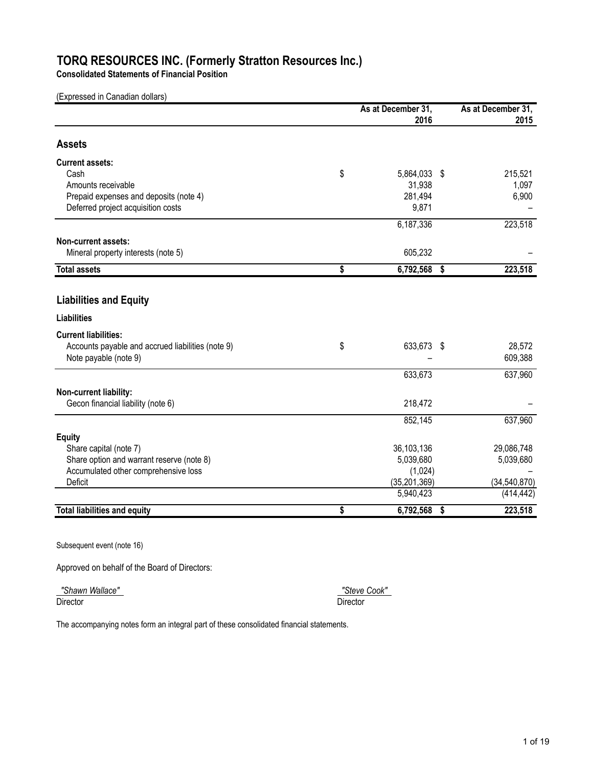**Consolidated Statements of Financial Position**

(Expressed in Canadian dollars)

|                                                   | As at December 31,<br>2016 |     | As at December 31,<br>2015 |
|---------------------------------------------------|----------------------------|-----|----------------------------|
|                                                   |                            |     |                            |
| <b>Assets</b>                                     |                            |     |                            |
| <b>Current assets:</b>                            |                            |     |                            |
| Cash                                              | \$<br>5,864,033 \$         |     | 215,521                    |
| Amounts receivable                                | 31,938                     |     | 1,097                      |
| Prepaid expenses and deposits (note 4)            | 281,494                    |     | 6,900                      |
| Deferred project acquisition costs                | 9,871                      |     |                            |
|                                                   | 6,187,336                  |     | 223,518                    |
| Non-current assets:                               |                            |     |                            |
| Mineral property interests (note 5)               | 605,232                    |     |                            |
| <b>Total assets</b>                               | \$<br>6,792,568            | -\$ | 223,518                    |
|                                                   |                            |     |                            |
| <b>Liabilities and Equity</b>                     |                            |     |                            |
| <b>Liabilities</b>                                |                            |     |                            |
| <b>Current liabilities:</b>                       |                            |     |                            |
| Accounts payable and accrued liabilities (note 9) | \$<br>633,673 \$           |     | 28,572                     |
| Note payable (note 9)                             |                            |     | 609,388                    |
|                                                   | 633,673                    |     | 637,960                    |
| Non-current liability:                            |                            |     |                            |
| Gecon financial liability (note 6)                | 218,472                    |     |                            |
|                                                   | 852,145                    |     | 637,960                    |
| <b>Equity</b>                                     |                            |     |                            |
| Share capital (note 7)                            | 36,103,136                 |     | 29,086,748                 |
| Share option and warrant reserve (note 8)         | 5,039,680                  |     | 5,039,680                  |
| Accumulated other comprehensive loss              | (1,024)                    |     |                            |
| Deficit                                           | (35, 201, 369)             |     | (34, 540, 870)             |
|                                                   | 5,940,423                  |     | (414, 442)                 |
| <b>Total liabilities and equity</b>               | \$<br>6,792,568            | \$  | 223,518                    |

Subsequent event (note 16)

Approved on behalf of the Board of Directors:

| "Shawn Wallace" | "Steve   |
|-----------------|----------|
| Director        | Director |

 *"Shawn Wallace" "Steve Cook"*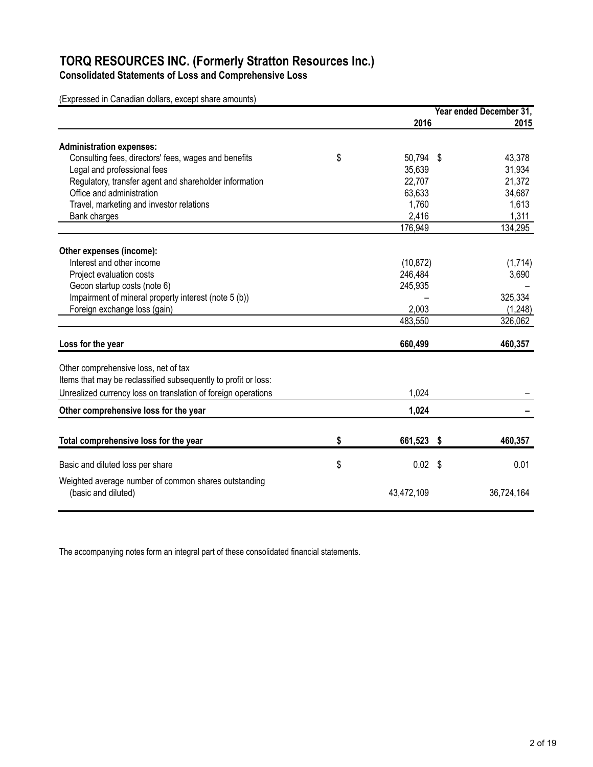**Consolidated Statements of Loss and Comprehensive Loss**

(Expressed in Canadian dollars, except share amounts)

|                                                                             | Year ended December 31, |            |  |            |
|-----------------------------------------------------------------------------|-------------------------|------------|--|------------|
|                                                                             |                         | 2016       |  | 2015       |
| <b>Administration expenses:</b>                                             |                         |            |  |            |
| Consulting fees, directors' fees, wages and benefits                        | \$                      | 50,794 \$  |  | 43,378     |
| Legal and professional fees                                                 |                         | 35,639     |  | 31,934     |
| Regulatory, transfer agent and shareholder information                      |                         | 22,707     |  | 21,372     |
| Office and administration                                                   |                         | 63,633     |  | 34,687     |
| Travel, marketing and investor relations                                    |                         | 1,760      |  | 1,613      |
| Bank charges                                                                |                         | 2,416      |  | 1,311      |
|                                                                             |                         | 176,949    |  | 134,295    |
| Other expenses (income):                                                    |                         |            |  |            |
| Interest and other income                                                   |                         | (10, 872)  |  | (1,714)    |
| Project evaluation costs                                                    |                         | 246,484    |  | 3,690      |
| Gecon startup costs (note 6)                                                |                         | 245,935    |  |            |
| Impairment of mineral property interest (note 5 (b))                        |                         |            |  | 325,334    |
| Foreign exchange loss (gain)                                                |                         | 2,003      |  | (1,248)    |
|                                                                             |                         | 483,550    |  | 326,062    |
| Loss for the year                                                           |                         | 660,499    |  | 460,357    |
| Other comprehensive loss, net of tax                                        |                         |            |  |            |
| Items that may be reclassified subsequently to profit or loss:              |                         |            |  |            |
| Unrealized currency loss on translation of foreign operations               |                         | 1,024      |  |            |
| Other comprehensive loss for the year                                       |                         | 1,024      |  |            |
|                                                                             |                         |            |  |            |
| Total comprehensive loss for the year                                       | \$                      | 661,523 \$ |  | 460,357    |
| Basic and diluted loss per share                                            | \$                      | $0.02$ \$  |  | 0.01       |
|                                                                             |                         |            |  |            |
| Weighted average number of common shares outstanding<br>(basic and diluted) |                         | 43,472,109 |  | 36,724,164 |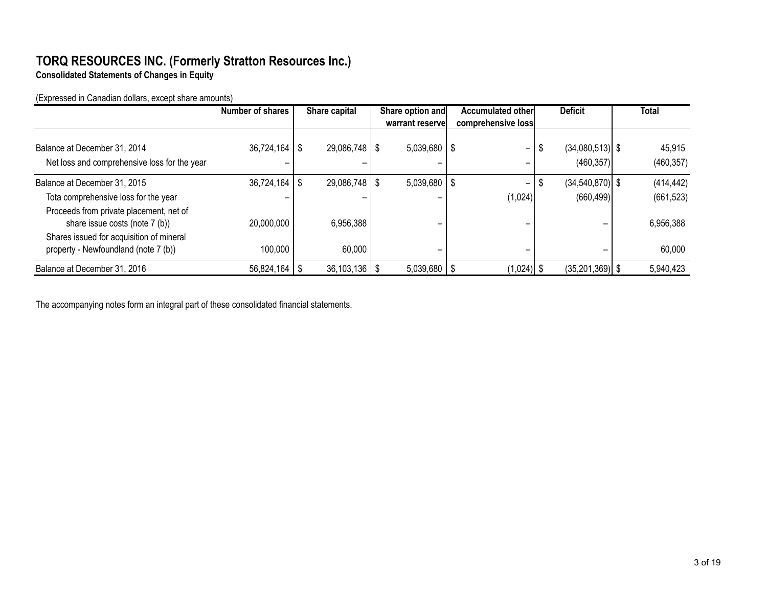**Consolidated Statements of Changes in Equity**

#### (Expressed in Canadian dollars, except share amounts)

|                                                                                  | Number of shares  | Share capital             | Share option and | Accumulated other                 | <b>Deficit</b>                  | Total                |
|----------------------------------------------------------------------------------|-------------------|---------------------------|------------------|-----------------------------------|---------------------------------|----------------------|
|                                                                                  |                   |                           | warrant reservel | comprehensive loss                |                                 |                      |
| Balance at December 31, 2014<br>Net loss and comprehensive loss for the year     | $36,724,164$ \ \$ | $29,086,748$   \$         | $5,039,680$   \$ | $\qquad \qquad \blacksquare$<br>- | $(34,080,513)$ \$<br>(460, 357) | 45,915<br>(460, 357) |
| Balance at December 31, 2015                                                     | 36,724,164        | $29,086,748$   \$<br>- \$ | $5,039,680$   \$ | $\qquad \qquad \blacksquare$      | $(34, 540, 870)$ \$             | (414, 442)           |
| Tota comprehensive loss for the year                                             |                   |                           |                  | (1,024)                           | (660, 499)                      | (661, 523)           |
| Proceeds from private placement, net of<br>share issue costs (note 7 (b))        | 20,000,000        | 6,956,388                 |                  |                                   |                                 | 6,956,388            |
| Shares issued for acquisition of mineral<br>property - Newfoundland (note 7 (b)) | 100,000           | 60,000                    | -                | -                                 |                                 | 60,000               |
| Balance at December 31, 2016                                                     | 56,824,164        | $36,103,136$   \$<br>- \$ | $5,039,680$   \$ | $(1,024)$ \$                      | $(35,201,369)$ \$               | 5,940,423            |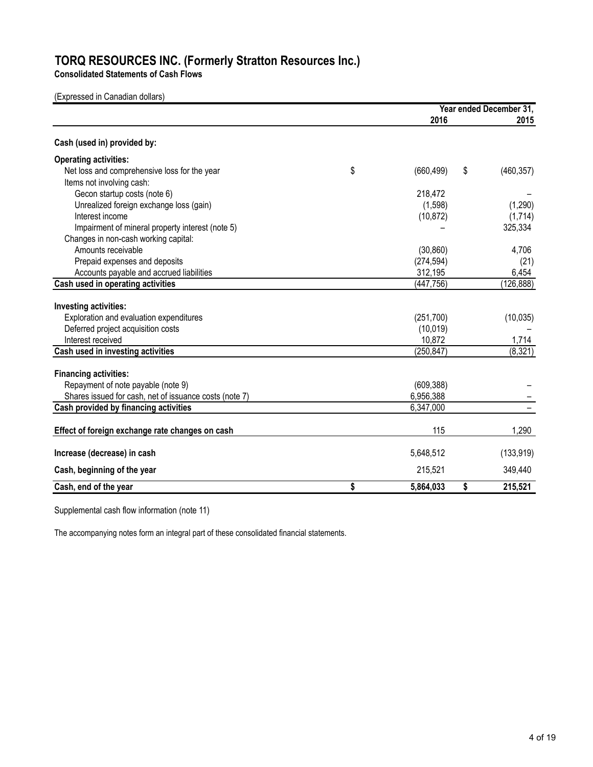**Consolidated Statements of Cash Flows**

(Expressed in Canadian dollars)

|                                                        | Year ended December 31, |    |            |
|--------------------------------------------------------|-------------------------|----|------------|
|                                                        | 2016                    |    | 2015       |
| Cash (used in) provided by:                            |                         |    |            |
| <b>Operating activities:</b>                           |                         |    |            |
| Net loss and comprehensive loss for the year           | \$<br>(660, 499)        | \$ | (460, 357) |
| Items not involving cash:                              |                         |    |            |
| Gecon startup costs (note 6)                           | 218,472                 |    |            |
| Unrealized foreign exchange loss (gain)                | (1,598)                 |    | (1, 290)   |
| Interest income                                        | (10, 872)               |    | (1,714)    |
| Impairment of mineral property interest (note 5)       |                         |    | 325,334    |
| Changes in non-cash working capital:                   |                         |    |            |
| Amounts receivable                                     | (30, 860)               |    | 4,706      |
| Prepaid expenses and deposits                          | (274, 594)              |    | (21)       |
| Accounts payable and accrued liabilities               | 312,195                 |    | 6,454      |
| Cash used in operating activities                      | (447, 756)              |    | (126, 888) |
| Investing activities:                                  |                         |    |            |
| Exploration and evaluation expenditures                | (251, 700)              |    | (10, 035)  |
| Deferred project acquisition costs                     | (10,019)                |    |            |
| Interest received                                      | 10,872                  |    | 1,714      |
| Cash used in investing activities                      | (250, 847)              |    | (8, 321)   |
| <b>Financing activities:</b>                           |                         |    |            |
| Repayment of note payable (note 9)                     | (609, 388)              |    |            |
| Shares issued for cash, net of issuance costs (note 7) | 6,956,388               |    |            |
| Cash provided by financing activities                  | 6,347,000               |    |            |
|                                                        |                         |    |            |
| Effect of foreign exchange rate changes on cash        | 115                     |    | 1,290      |
| Increase (decrease) in cash                            | 5,648,512               |    | (133, 919) |
| Cash, beginning of the year                            | 215,521                 |    | 349,440    |
| Cash, end of the year                                  | \$<br>5,864,033         | \$ | 215,521    |

Supplemental cash flow information (note 11)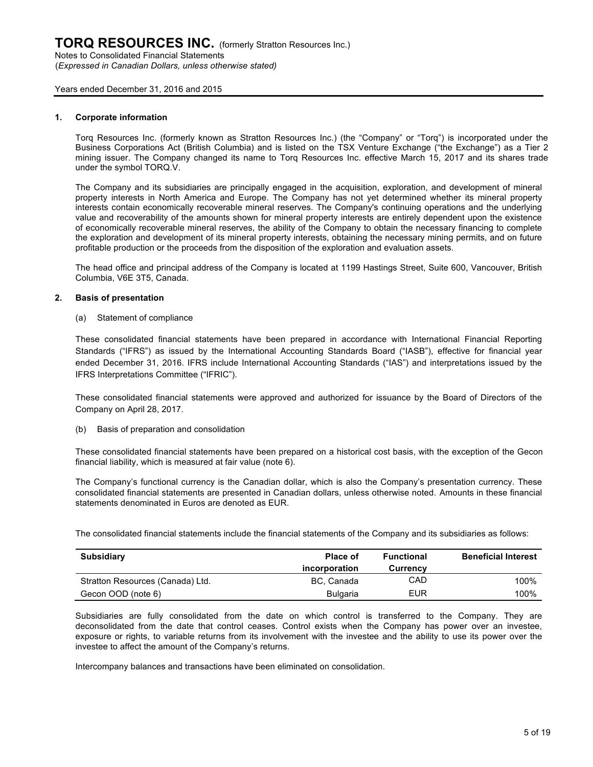#### Years ended December 31, 2016 and 2015

#### **1. Corporate information**

Torq Resources Inc. (formerly known as Stratton Resources Inc.) (the "Company" or "Torq") is incorporated under the Business Corporations Act (British Columbia) and is listed on the TSX Venture Exchange ("the Exchange") as a Tier 2 mining issuer. The Company changed its name to Torq Resources Inc. effective March 15, 2017 and its shares trade under the symbol TORQ.V.

The Company and its subsidiaries are principally engaged in the acquisition, exploration, and development of mineral property interests in North America and Europe. The Company has not yet determined whether its mineral property interests contain economically recoverable mineral reserves. The Company's continuing operations and the underlying value and recoverability of the amounts shown for mineral property interests are entirely dependent upon the existence of economically recoverable mineral reserves, the ability of the Company to obtain the necessary financing to complete the exploration and development of its mineral property interests, obtaining the necessary mining permits, and on future profitable production or the proceeds from the disposition of the exploration and evaluation assets.

The head office and principal address of the Company is located at 1199 Hastings Street, Suite 600, Vancouver, British Columbia, V6E 3T5, Canada.

#### **2. Basis of presentation**

(a) Statement of compliance

These consolidated financial statements have been prepared in accordance with International Financial Reporting Standards ("IFRS") as issued by the International Accounting Standards Board ("IASB"), effective for financial year ended December 31, 2016. IFRS include International Accounting Standards ("IAS") and interpretations issued by the IFRS Interpretations Committee ("IFRIC").

These consolidated financial statements were approved and authorized for issuance by the Board of Directors of the Company on April 28, 2017.

(b) Basis of preparation and consolidation

These consolidated financial statements have been prepared on a historical cost basis, with the exception of the Gecon financial liability, which is measured at fair value (note 6).

The Company's functional currency is the Canadian dollar, which is also the Company's presentation currency. These consolidated financial statements are presented in Canadian dollars, unless otherwise noted. Amounts in these financial statements denominated in Euros are denoted as EUR.

The consolidated financial statements include the financial statements of the Company and its subsidiaries as follows:

| Subsidiary                       | <b>Place of</b> | Functional | <b>Beneficial Interest</b> |
|----------------------------------|-----------------|------------|----------------------------|
|                                  | incorporation   | Currency   |                            |
| Stratton Resources (Canada) Ltd. | BC. Canada      | CAD        | 100%                       |
| Gecon OOD (note 6)               | <b>Bulgaria</b> | EUR        | 100%                       |

Subsidiaries are fully consolidated from the date on which control is transferred to the Company. They are deconsolidated from the date that control ceases. Control exists when the Company has power over an investee, exposure or rights, to variable returns from its involvement with the investee and the ability to use its power over the investee to affect the amount of the Company's returns.

Intercompany balances and transactions have been eliminated on consolidation.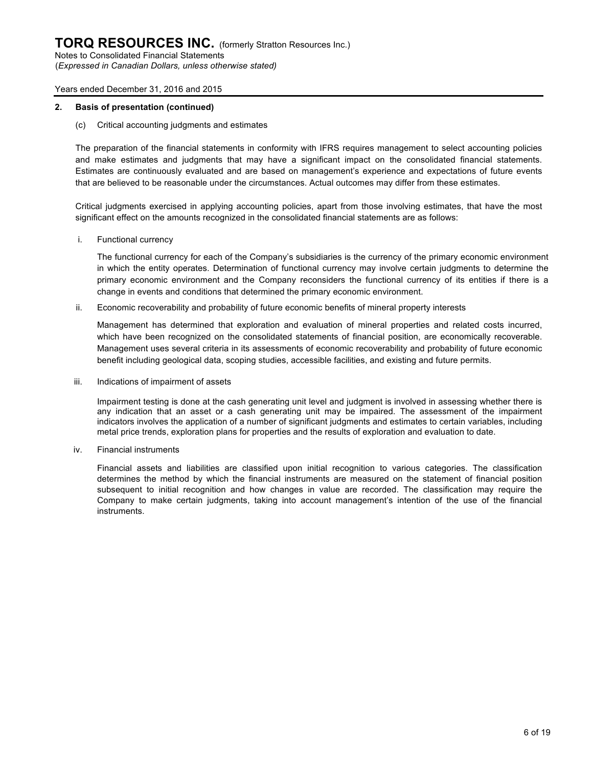Notes to Consolidated Financial Statements (*Expressed in Canadian Dollars, unless otherwise stated)*

#### Years ended December 31, 2016 and 2015

#### **2. Basis of presentation (continued)**

(c) Critical accounting judgments and estimates

The preparation of the financial statements in conformity with IFRS requires management to select accounting policies and make estimates and judgments that may have a significant impact on the consolidated financial statements. Estimates are continuously evaluated and are based on management's experience and expectations of future events that are believed to be reasonable under the circumstances. Actual outcomes may differ from these estimates.

Critical judgments exercised in applying accounting policies, apart from those involving estimates, that have the most significant effect on the amounts recognized in the consolidated financial statements are as follows:

i. Functional currency

The functional currency for each of the Company's subsidiaries is the currency of the primary economic environment in which the entity operates. Determination of functional currency may involve certain judgments to determine the primary economic environment and the Company reconsiders the functional currency of its entities if there is a change in events and conditions that determined the primary economic environment.

ii. Economic recoverability and probability of future economic benefits of mineral property interests

Management has determined that exploration and evaluation of mineral properties and related costs incurred, which have been recognized on the consolidated statements of financial position, are economically recoverable. Management uses several criteria in its assessments of economic recoverability and probability of future economic benefit including geological data, scoping studies, accessible facilities, and existing and future permits.

iii. Indications of impairment of assets

Impairment testing is done at the cash generating unit level and judgment is involved in assessing whether there is any indication that an asset or a cash generating unit may be impaired. The assessment of the impairment indicators involves the application of a number of significant judgments and estimates to certain variables, including metal price trends, exploration plans for properties and the results of exploration and evaluation to date.

iv. Financial instruments

Financial assets and liabilities are classified upon initial recognition to various categories. The classification determines the method by which the financial instruments are measured on the statement of financial position subsequent to initial recognition and how changes in value are recorded. The classification may require the Company to make certain judgments, taking into account management's intention of the use of the financial instruments.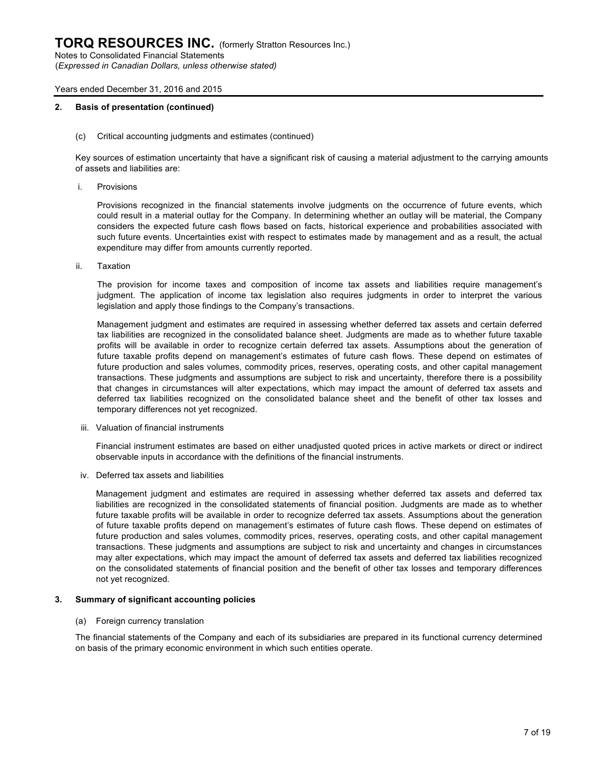Notes to Consolidated Financial Statements (*Expressed in Canadian Dollars, unless otherwise stated)*

#### Years ended December 31, 2016 and 2015

#### **2. Basis of presentation (continued)**

(c) Critical accounting judgments and estimates (continued)

Key sources of estimation uncertainty that have a significant risk of causing a material adjustment to the carrying amounts of assets and liabilities are:

i. Provisions

Provisions recognized in the financial statements involve judgments on the occurrence of future events, which could result in a material outlay for the Company. In determining whether an outlay will be material, the Company considers the expected future cash flows based on facts, historical experience and probabilities associated with such future events. Uncertainties exist with respect to estimates made by management and as a result, the actual expenditure may differ from amounts currently reported.

ii. Taxation

The provision for income taxes and composition of income tax assets and liabilities require management's judgment. The application of income tax legislation also requires judgments in order to interpret the various legislation and apply those findings to the Company's transactions.

Management judgment and estimates are required in assessing whether deferred tax assets and certain deferred tax liabilities are recognized in the consolidated balance sheet. Judgments are made as to whether future taxable profits will be available in order to recognize certain deferred tax assets. Assumptions about the generation of future taxable profits depend on management's estimates of future cash flows. These depend on estimates of future production and sales volumes, commodity prices, reserves, operating costs, and other capital management transactions. These judgments and assumptions are subject to risk and uncertainty, therefore there is a possibility that changes in circumstances will alter expectations, which may impact the amount of deferred tax assets and deferred tax liabilities recognized on the consolidated balance sheet and the benefit of other tax losses and temporary differences not yet recognized.

iii. Valuation of financial instruments

Financial instrument estimates are based on either unadjusted quoted prices in active markets or direct or indirect observable inputs in accordance with the definitions of the financial instruments.

iv. Deferred tax assets and liabilities

Management judgment and estimates are required in assessing whether deferred tax assets and deferred tax liabilities are recognized in the consolidated statements of financial position. Judgments are made as to whether future taxable profits will be available in order to recognize deferred tax assets. Assumptions about the generation of future taxable profits depend on management's estimates of future cash flows. These depend on estimates of future production and sales volumes, commodity prices, reserves, operating costs, and other capital management transactions. These judgments and assumptions are subject to risk and uncertainty and changes in circumstances may alter expectations, which may impact the amount of deferred tax assets and deferred tax liabilities recognized on the consolidated statements of financial position and the benefit of other tax losses and temporary differences not yet recognized.

#### **3. Summary of significant accounting policies**

(a) Foreign currency translation

The financial statements of the Company and each of its subsidiaries are prepared in its functional currency determined on basis of the primary economic environment in which such entities operate.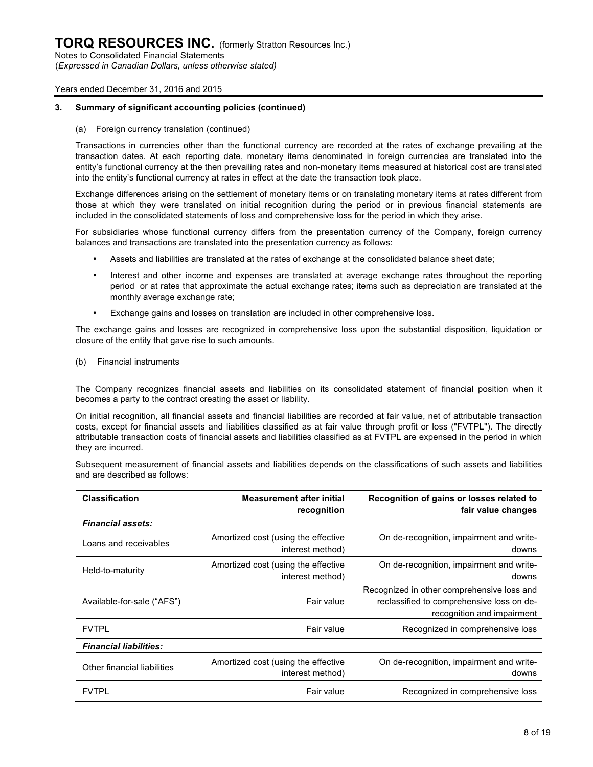Notes to Consolidated Financial Statements (*Expressed in Canadian Dollars, unless otherwise stated)*

#### Years ended December 31, 2016 and 2015

#### **3. Summary of significant accounting policies (continued)**

(a) Foreign currency translation (continued)

Transactions in currencies other than the functional currency are recorded at the rates of exchange prevailing at the transaction dates. At each reporting date, monetary items denominated in foreign currencies are translated into the entity's functional currency at the then prevailing rates and non-monetary items measured at historical cost are translated into the entity's functional currency at rates in effect at the date the transaction took place.

Exchange differences arising on the settlement of monetary items or on translating monetary items at rates different from those at which they were translated on initial recognition during the period or in previous financial statements are included in the consolidated statements of loss and comprehensive loss for the period in which they arise.

For subsidiaries whose functional currency differs from the presentation currency of the Company, foreign currency balances and transactions are translated into the presentation currency as follows:

- Assets and liabilities are translated at the rates of exchange at the consolidated balance sheet date;
- Interest and other income and expenses are translated at average exchange rates throughout the reporting period or at rates that approximate the actual exchange rates; items such as depreciation are translated at the monthly average exchange rate;
- Exchange gains and losses on translation are included in other comprehensive loss.

The exchange gains and losses are recognized in comprehensive loss upon the substantial disposition, liquidation or closure of the entity that gave rise to such amounts.

(b) Financial instruments

The Company recognizes financial assets and liabilities on its consolidated statement of financial position when it becomes a party to the contract creating the asset or liability.

On initial recognition, all financial assets and financial liabilities are recorded at fair value, net of attributable transaction costs, except for financial assets and liabilities classified as at fair value through profit or loss ("FVTPL"). The directly attributable transaction costs of financial assets and liabilities classified as at FVTPL are expensed in the period in which they are incurred.

Subsequent measurement of financial assets and liabilities depends on the classifications of such assets and liabilities and are described as follows:

| <b>Classification</b>         | <b>Measurement after initial</b>                        | Recognition of gains or losses related to                                                                             |
|-------------------------------|---------------------------------------------------------|-----------------------------------------------------------------------------------------------------------------------|
|                               | recognition                                             | fair value changes                                                                                                    |
| <b>Financial assets:</b>      |                                                         |                                                                                                                       |
| Loans and receivables         | Amortized cost (using the effective<br>interest method) | On de-recognition, impairment and write-<br>downs                                                                     |
| Held-to-maturity              | Amortized cost (using the effective<br>interest method) | On de-recognition, impairment and write-<br>downs                                                                     |
| Available-for-sale ("AFS")    | Fair value                                              | Recognized in other comprehensive loss and<br>reclassified to comprehensive loss on de-<br>recognition and impairment |
| <b>FVTPL</b>                  | Fair value                                              | Recognized in comprehensive loss                                                                                      |
| <b>Financial liabilities:</b> |                                                         |                                                                                                                       |
| Other financial liabilities   | Amortized cost (using the effective<br>interest method) | On de-recognition, impairment and write-<br>downs                                                                     |
| <b>FVTPL</b>                  | Fair value                                              | Recognized in comprehensive loss                                                                                      |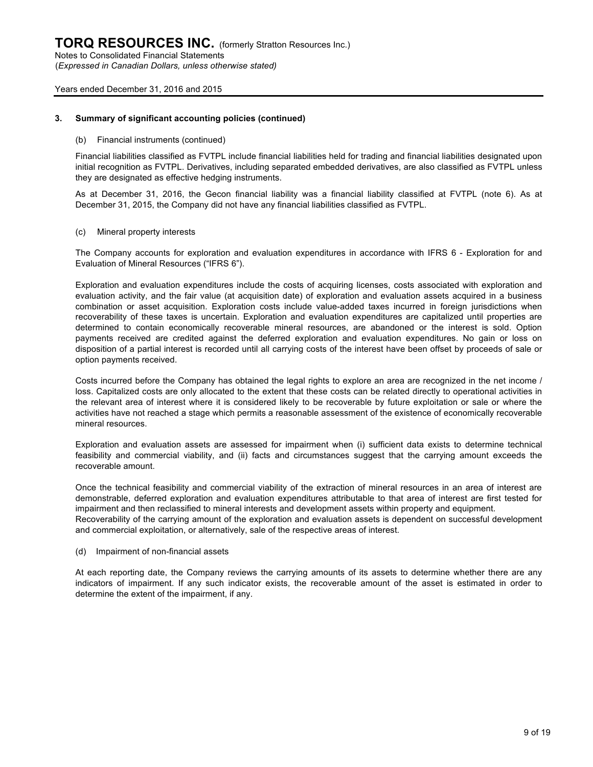#### Years ended December 31, 2016 and 2015

#### **3. Summary of significant accounting policies (continued)**

#### (b) Financial instruments (continued)

Financial liabilities classified as FVTPL include financial liabilities held for trading and financial liabilities designated upon initial recognition as FVTPL. Derivatives, including separated embedded derivatives, are also classified as FVTPL unless they are designated as effective hedging instruments.

As at December 31, 2016, the Gecon financial liability was a financial liability classified at FVTPL (note 6). As at December 31, 2015, the Company did not have any financial liabilities classified as FVTPL.

#### (c) Mineral property interests

The Company accounts for exploration and evaluation expenditures in accordance with IFRS 6 - Exploration for and Evaluation of Mineral Resources ("IFRS 6").

Exploration and evaluation expenditures include the costs of acquiring licenses, costs associated with exploration and evaluation activity, and the fair value (at acquisition date) of exploration and evaluation assets acquired in a business combination or asset acquisition. Exploration costs include value-added taxes incurred in foreign jurisdictions when recoverability of these taxes is uncertain. Exploration and evaluation expenditures are capitalized until properties are determined to contain economically recoverable mineral resources, are abandoned or the interest is sold. Option payments received are credited against the deferred exploration and evaluation expenditures. No gain or loss on disposition of a partial interest is recorded until all carrying costs of the interest have been offset by proceeds of sale or option payments received.

Costs incurred before the Company has obtained the legal rights to explore an area are recognized in the net income / loss. Capitalized costs are only allocated to the extent that these costs can be related directly to operational activities in the relevant area of interest where it is considered likely to be recoverable by future exploitation or sale or where the activities have not reached a stage which permits a reasonable assessment of the existence of economically recoverable mineral resources.

Exploration and evaluation assets are assessed for impairment when (i) sufficient data exists to determine technical feasibility and commercial viability, and (ii) facts and circumstances suggest that the carrying amount exceeds the recoverable amount.

Once the technical feasibility and commercial viability of the extraction of mineral resources in an area of interest are demonstrable, deferred exploration and evaluation expenditures attributable to that area of interest are first tested for impairment and then reclassified to mineral interests and development assets within property and equipment. Recoverability of the carrying amount of the exploration and evaluation assets is dependent on successful development and commercial exploitation, or alternatively, sale of the respective areas of interest.

#### (d) Impairment of non-financial assets

At each reporting date, the Company reviews the carrying amounts of its assets to determine whether there are any indicators of impairment. If any such indicator exists, the recoverable amount of the asset is estimated in order to determine the extent of the impairment, if any.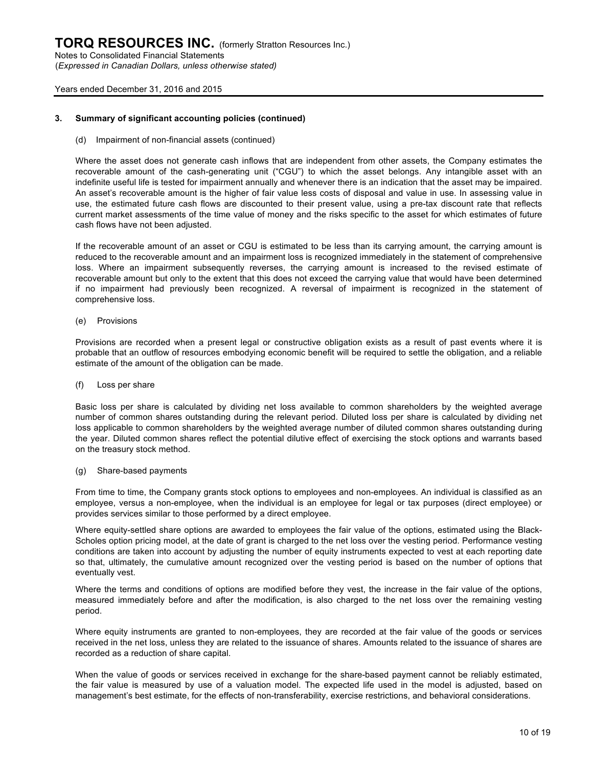#### Years ended December 31, 2016 and 2015

#### **3. Summary of significant accounting policies (continued)**

(d) Impairment of non-financial assets (continued)

Where the asset does not generate cash inflows that are independent from other assets, the Company estimates the recoverable amount of the cash-generating unit ("CGU") to which the asset belongs. Any intangible asset with an indefinite useful life is tested for impairment annually and whenever there is an indication that the asset may be impaired. An asset's recoverable amount is the higher of fair value less costs of disposal and value in use. In assessing value in use, the estimated future cash flows are discounted to their present value, using a pre-tax discount rate that reflects current market assessments of the time value of money and the risks specific to the asset for which estimates of future cash flows have not been adjusted.

If the recoverable amount of an asset or CGU is estimated to be less than its carrying amount, the carrying amount is reduced to the recoverable amount and an impairment loss is recognized immediately in the statement of comprehensive loss. Where an impairment subsequently reverses, the carrying amount is increased to the revised estimate of recoverable amount but only to the extent that this does not exceed the carrying value that would have been determined if no impairment had previously been recognized. A reversal of impairment is recognized in the statement of comprehensive loss.

(e) Provisions

Provisions are recorded when a present legal or constructive obligation exists as a result of past events where it is probable that an outflow of resources embodying economic benefit will be required to settle the obligation, and a reliable estimate of the amount of the obligation can be made.

(f) Loss per share

Basic loss per share is calculated by dividing net loss available to common shareholders by the weighted average number of common shares outstanding during the relevant period. Diluted loss per share is calculated by dividing net loss applicable to common shareholders by the weighted average number of diluted common shares outstanding during the year. Diluted common shares reflect the potential dilutive effect of exercising the stock options and warrants based on the treasury stock method.

(g) Share-based payments

From time to time, the Company grants stock options to employees and non-employees. An individual is classified as an employee, versus a non-employee, when the individual is an employee for legal or tax purposes (direct employee) or provides services similar to those performed by a direct employee.

Where equity-settled share options are awarded to employees the fair value of the options, estimated using the Black-Scholes option pricing model, at the date of grant is charged to the net loss over the vesting period. Performance vesting conditions are taken into account by adjusting the number of equity instruments expected to vest at each reporting date so that, ultimately, the cumulative amount recognized over the vesting period is based on the number of options that eventually vest.

Where the terms and conditions of options are modified before they vest, the increase in the fair value of the options, measured immediately before and after the modification, is also charged to the net loss over the remaining vesting period.

Where equity instruments are granted to non-employees, they are recorded at the fair value of the goods or services received in the net loss, unless they are related to the issuance of shares. Amounts related to the issuance of shares are recorded as a reduction of share capital.

When the value of goods or services received in exchange for the share-based payment cannot be reliably estimated, the fair value is measured by use of a valuation model. The expected life used in the model is adjusted, based on management's best estimate, for the effects of non-transferability, exercise restrictions, and behavioral considerations.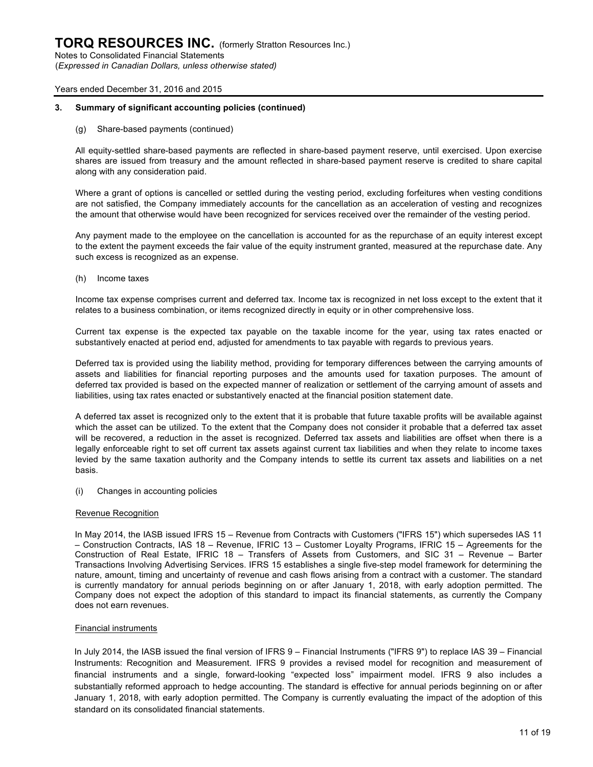Notes to Consolidated Financial Statements (*Expressed in Canadian Dollars, unless otherwise stated)*

#### Years ended December 31, 2016 and 2015

#### **3. Summary of significant accounting policies (continued)**

(g) Share-based payments (continued)

All equity-settled share-based payments are reflected in share-based payment reserve, until exercised. Upon exercise shares are issued from treasury and the amount reflected in share-based payment reserve is credited to share capital along with any consideration paid.

Where a grant of options is cancelled or settled during the vesting period, excluding forfeitures when vesting conditions are not satisfied, the Company immediately accounts for the cancellation as an acceleration of vesting and recognizes the amount that otherwise would have been recognized for services received over the remainder of the vesting period.

Any payment made to the employee on the cancellation is accounted for as the repurchase of an equity interest except to the extent the payment exceeds the fair value of the equity instrument granted, measured at the repurchase date. Any such excess is recognized as an expense.

(h) Income taxes

Income tax expense comprises current and deferred tax. Income tax is recognized in net loss except to the extent that it relates to a business combination, or items recognized directly in equity or in other comprehensive loss.

Current tax expense is the expected tax payable on the taxable income for the year, using tax rates enacted or substantively enacted at period end, adjusted for amendments to tax payable with regards to previous years.

Deferred tax is provided using the liability method, providing for temporary differences between the carrying amounts of assets and liabilities for financial reporting purposes and the amounts used for taxation purposes. The amount of deferred tax provided is based on the expected manner of realization or settlement of the carrying amount of assets and liabilities, using tax rates enacted or substantively enacted at the financial position statement date.

A deferred tax asset is recognized only to the extent that it is probable that future taxable profits will be available against which the asset can be utilized. To the extent that the Company does not consider it probable that a deferred tax asset will be recovered, a reduction in the asset is recognized. Deferred tax assets and liabilities are offset when there is a legally enforceable right to set off current tax assets against current tax liabilities and when they relate to income taxes levied by the same taxation authority and the Company intends to settle its current tax assets and liabilities on a net basis.

(i) Changes in accounting policies

#### Revenue Recognition

In May 2014, the IASB issued IFRS 15 – Revenue from Contracts with Customers ("IFRS 15") which supersedes IAS 11 – Construction Contracts, IAS 18 – Revenue, IFRIC 13 – Customer Loyalty Programs, IFRIC 15 – Agreements for the Construction of Real Estate, IFRIC 18 – Transfers of Assets from Customers, and SIC 31 – Revenue – Barter Transactions Involving Advertising Services. IFRS 15 establishes a single five-step model framework for determining the nature, amount, timing and uncertainty of revenue and cash flows arising from a contract with a customer. The standard is currently mandatory for annual periods beginning on or after January 1, 2018, with early adoption permitted. The Company does not expect the adoption of this standard to impact its financial statements, as currently the Company does not earn revenues.

#### Financial instruments

In July 2014, the IASB issued the final version of IFRS 9 – Financial Instruments ("IFRS 9") to replace IAS 39 – Financial Instruments: Recognition and Measurement. IFRS 9 provides a revised model for recognition and measurement of financial instruments and a single, forward-looking "expected loss" impairment model. IFRS 9 also includes a substantially reformed approach to hedge accounting. The standard is effective for annual periods beginning on or after January 1, 2018, with early adoption permitted. The Company is currently evaluating the impact of the adoption of this standard on its consolidated financial statements.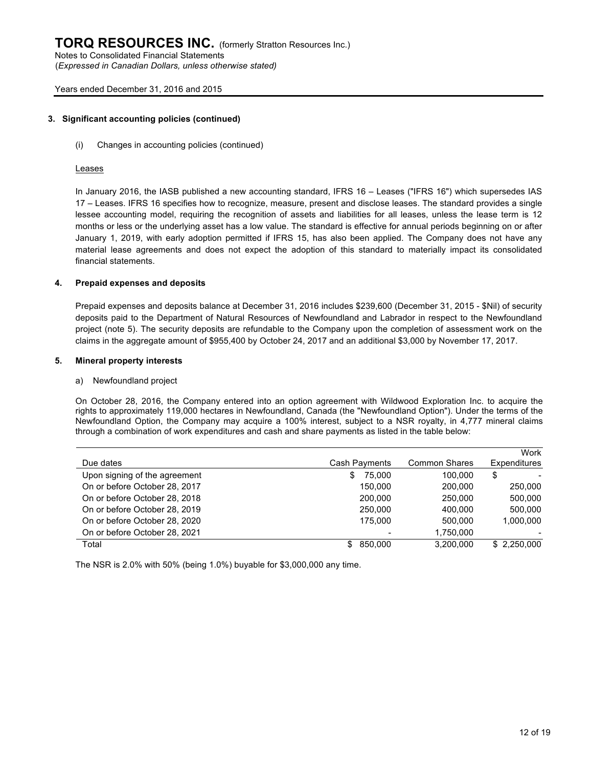#### Years ended December 31, 2016 and 2015

#### **3. Significant accounting policies (continued)**

(i) Changes in accounting policies (continued)

#### Leases

In January 2016, the IASB published a new accounting standard, IFRS 16 – Leases ("IFRS 16") which supersedes IAS 17 – Leases. IFRS 16 specifies how to recognize, measure, present and disclose leases. The standard provides a single lessee accounting model, requiring the recognition of assets and liabilities for all leases, unless the lease term is 12 months or less or the underlying asset has a low value. The standard is effective for annual periods beginning on or after January 1, 2019, with early adoption permitted if IFRS 15, has also been applied. The Company does not have any material lease agreements and does not expect the adoption of this standard to materially impact its consolidated financial statements.

#### **4. Prepaid expenses and deposits**

Prepaid expenses and deposits balance at December 31, 2016 includes \$239,600 (December 31, 2015 - \$Nil) of security deposits paid to the Department of Natural Resources of Newfoundland and Labrador in respect to the Newfoundland project (note 5). The security deposits are refundable to the Company upon the completion of assessment work on the claims in the aggregate amount of \$955,400 by October 24, 2017 and an additional \$3,000 by November 17, 2017.

#### **5. Mineral property interests**

#### a) Newfoundland project

On October 28, 2016, the Company entered into an option agreement with Wildwood Exploration Inc. to acquire the rights to approximately 119,000 hectares in Newfoundland, Canada (the "Newfoundland Option"). Under the terms of the Newfoundland Option, the Company may acquire a 100% interest, subject to a NSR royalty, in 4,777 mineral claims through a combination of work expenditures and cash and share payments as listed in the table below:

|                               |               |                      | Work         |
|-------------------------------|---------------|----------------------|--------------|
| Due dates                     | Cash Payments | <b>Common Shares</b> | Expenditures |
| Upon signing of the agreement | 75.000<br>\$  | 100.000              | \$           |
| On or before October 28, 2017 | 150,000       | 200.000              | 250,000      |
| On or before October 28, 2018 | 200,000       | 250,000              | 500,000      |
| On or before October 28, 2019 | 250,000       | 400.000              | 500,000      |
| On or before October 28, 2020 | 175.000       | 500.000              | 1.000.000    |
| On or before October 28, 2021 |               | 1.750.000            |              |
| Total                         | 850.000       | 3.200.000            | \$2.250.000  |

The NSR is 2.0% with 50% (being 1.0%) buyable for \$3,000,000 any time.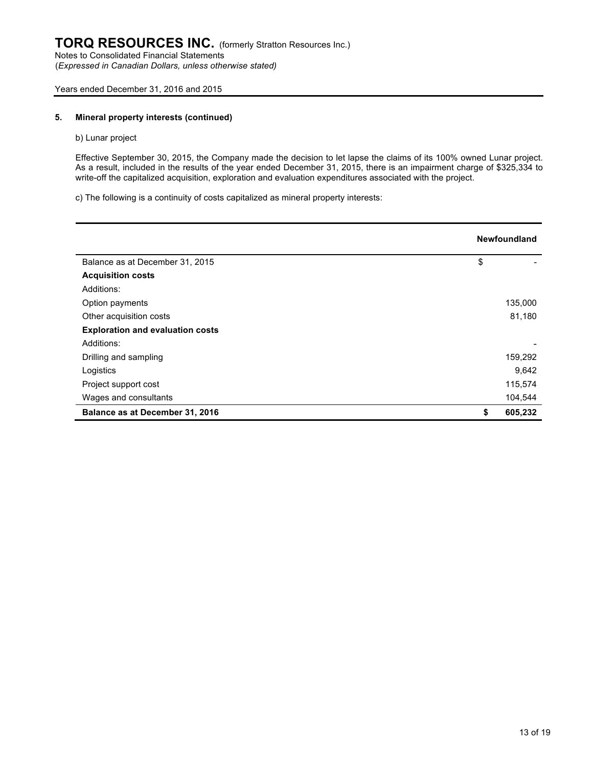Years ended December 31, 2016 and 2015

#### **5. Mineral property interests (continued)**

#### b) Lunar project

Effective September 30, 2015, the Company made the decision to let lapse the claims of its 100% owned Lunar project. As a result, included in the results of the year ended December 31, 2015, there is an impairment charge of \$325,334 to write-off the capitalized acquisition, exploration and evaluation expenditures associated with the project.

c) The following is a continuity of costs capitalized as mineral property interests:

|                                         | <b>Newfoundland</b> |
|-----------------------------------------|---------------------|
| Balance as at December 31, 2015         | \$                  |
| <b>Acquisition costs</b>                |                     |
| Additions:                              |                     |
| Option payments                         | 135,000             |
| Other acquisition costs                 | 81,180              |
| <b>Exploration and evaluation costs</b> |                     |
| Additions:                              |                     |
| Drilling and sampling                   | 159,292             |
| Logistics                               | 9,642               |
| Project support cost                    | 115,574             |
| Wages and consultants                   | 104,544             |
| Balance as at December 31, 2016         | \$<br>605,232       |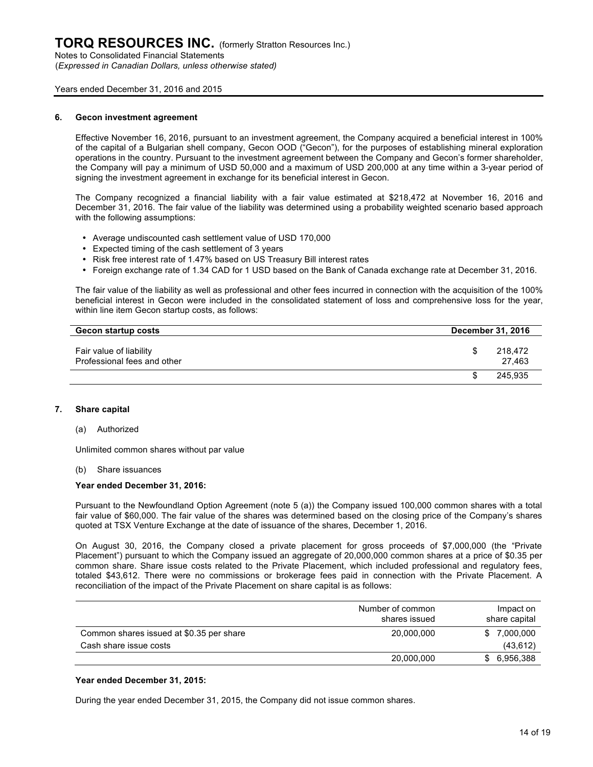Notes to Consolidated Financial Statements (*Expressed in Canadian Dollars, unless otherwise stated)*

#### Years ended December 31, 2016 and 2015

#### **6. Gecon investment agreement**

Effective November 16, 2016, pursuant to an investment agreement, the Company acquired a beneficial interest in 100% of the capital of a Bulgarian shell company, Gecon OOD ("Gecon"), for the purposes of establishing mineral exploration operations in the country. Pursuant to the investment agreement between the Company and Gecon's former shareholder, the Company will pay a minimum of USD 50,000 and a maximum of USD 200,000 at any time within a 3-year period of signing the investment agreement in exchange for its beneficial interest in Gecon.

The Company recognized a financial liability with a fair value estimated at \$218,472 at November 16, 2016 and December 31, 2016. The fair value of the liability was determined using a probability weighted scenario based approach with the following assumptions:

- Average undiscounted cash settlement value of USD 170,000
- Expected timing of the cash settlement of 3 years
- Risk free interest rate of 1.47% based on US Treasury Bill interest rates
- Foreign exchange rate of 1.34 CAD for 1 USD based on the Bank of Canada exchange rate at December 31, 2016.

The fair value of the liability as well as professional and other fees incurred in connection with the acquisition of the 100% beneficial interest in Gecon were included in the consolidated statement of loss and comprehensive loss for the year, within line item Gecon startup costs, as follows:

| Gecon startup costs                                    | <b>December 31, 2016</b> |                   |
|--------------------------------------------------------|--------------------------|-------------------|
| Fair value of liability<br>Professional fees and other |                          | 218,472<br>27.463 |
|                                                        | S                        | 245.935           |

#### **7. Share capital**

#### (a) Authorized

Unlimited common shares without par value

#### (b) Share issuances

#### **Year ended December 31, 2016:**

Pursuant to the Newfoundland Option Agreement (note 5 (a)) the Company issued 100,000 common shares with a total fair value of \$60,000. The fair value of the shares was determined based on the closing price of the Company's shares quoted at TSX Venture Exchange at the date of issuance of the shares, December 1, 2016.

On August 30, 2016, the Company closed a private placement for gross proceeds of \$7,000,000 (the "Private Placement") pursuant to which the Company issued an aggregate of 20,000,000 common shares at a price of \$0.35 per common share. Share issue costs related to the Private Placement, which included professional and regulatory fees, totaled \$43,612. There were no commissions or brokerage fees paid in connection with the Private Placement. A reconciliation of the impact of the Private Placement on share capital is as follows:

|                                          | Number of common<br>shares issued | Impact on<br>share capital |
|------------------------------------------|-----------------------------------|----------------------------|
| Common shares issued at \$0.35 per share | 20,000,000                        | 7,000,000<br>S.            |
| Cash share issue costs                   |                                   | (43, 612)                  |
|                                          | 20,000,000                        | 6,956,388                  |

#### **Year ended December 31, 2015:**

During the year ended December 31, 2015, the Company did not issue common shares.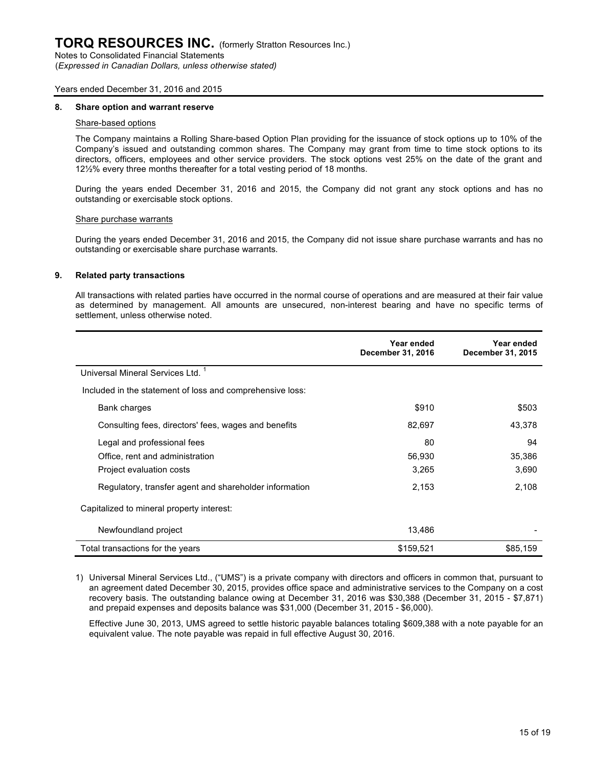Notes to Consolidated Financial Statements (*Expressed in Canadian Dollars, unless otherwise stated)*

#### Years ended December 31, 2016 and 2015

#### **8. Share option and warrant reserve**

#### Share-based options

The Company maintains a Rolling Share-based Option Plan providing for the issuance of stock options up to 10% of the Company's issued and outstanding common shares. The Company may grant from time to time stock options to its directors, officers, employees and other service providers. The stock options vest 25% on the date of the grant and 12½% every three months thereafter for a total vesting period of 18 months.

During the years ended December 31, 2016 and 2015, the Company did not grant any stock options and has no outstanding or exercisable stock options.

#### Share purchase warrants

During the years ended December 31, 2016 and 2015, the Company did not issue share purchase warrants and has no outstanding or exercisable share purchase warrants.

#### **9. Related party transactions**

All transactions with related parties have occurred in the normal course of operations and are measured at their fair value as determined by management. All amounts are unsecured, non-interest bearing and have no specific terms of settlement, unless otherwise noted.

|                                                           | Year ended<br>December 31, 2016 | Year ended<br>December 31, 2015 |
|-----------------------------------------------------------|---------------------------------|---------------------------------|
| Universal Mineral Services Ltd. <sup>1</sup>              |                                 |                                 |
| Included in the statement of loss and comprehensive loss: |                                 |                                 |
| Bank charges                                              | \$910                           | \$503                           |
| Consulting fees, directors' fees, wages and benefits      | 82,697                          | 43,378                          |
| Legal and professional fees                               | 80                              | 94                              |
| Office, rent and administration                           | 56,930                          | 35,386                          |
| Project evaluation costs                                  | 3,265                           | 3,690                           |
| Regulatory, transfer agent and shareholder information    | 2,153                           | 2,108                           |
| Capitalized to mineral property interest:                 |                                 |                                 |
| Newfoundland project                                      | 13,486                          |                                 |
| Total transactions for the years                          | \$159,521                       | \$85,159                        |

1) Universal Mineral Services Ltd., ("UMS") is a private company with directors and officers in common that, pursuant to an agreement dated December 30, 2015, provides office space and administrative services to the Company on a cost recovery basis. The outstanding balance owing at December 31, 2016 was \$30,388 (December 31, 2015 - \$7,871) and prepaid expenses and deposits balance was \$31,000 (December 31, 2015 - \$6,000).

Effective June 30, 2013, UMS agreed to settle historic payable balances totaling \$609,388 with a note payable for an equivalent value. The note payable was repaid in full effective August 30, 2016.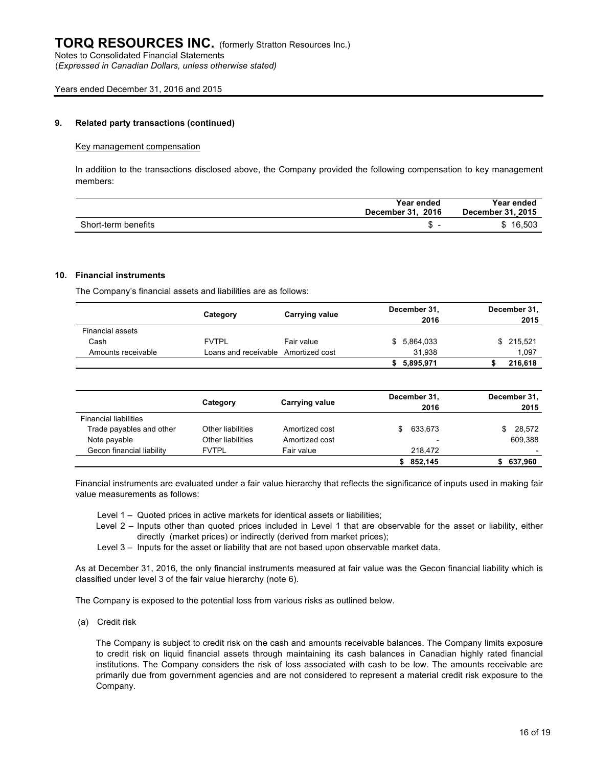#### Years ended December 31, 2016 and 2015

#### **9. Related party transactions (continued)**

#### Key management compensation

In addition to the transactions disclosed above, the Company provided the following compensation to key management members:

|                     | Year ended<br>December 31, 2016 | Year ended<br>December 31, 2015 |
|---------------------|---------------------------------|---------------------------------|
| Short-term benefits | ۰D                              | \$16.503                        |

#### **10. Financial instruments**

The Company's financial assets and liabilities are as follows:

|                         | Category             | <b>Carrying value</b> |     | December 31,<br>2016 | December 31,<br>2015 |
|-------------------------|----------------------|-----------------------|-----|----------------------|----------------------|
| <b>Financial assets</b> |                      |                       |     |                      |                      |
| Cash                    | <b>FVTPL</b>         | Fair value            | SS. | 5,864,033            | \$215.521            |
| Amounts receivable      | Loans and receivable | Amortized cost        |     | 31.938               | 1.097                |
|                         |                      |                       |     | 5,895,971            | 216,618              |

|                              | Category          | <b>Carrying value</b> | December 31,<br>2016 | December 31,<br>2015 |
|------------------------------|-------------------|-----------------------|----------------------|----------------------|
| <b>Financial liabilities</b> |                   |                       |                      |                      |
| Trade payables and other     | Other liabilities | Amortized cost        | 633.673              | 28,572               |
| Note payable                 | Other liabilities | Amortized cost        |                      | 609.388              |
| Gecon financial liability    | <b>FVTPL</b>      | Fair value            | 218.472              |                      |
|                              |                   |                       | 852,145              | 637,960              |

Financial instruments are evaluated under a fair value hierarchy that reflects the significance of inputs used in making fair value measurements as follows:

- Level 1 Quoted prices in active markets for identical assets or liabilities;
- Level 2 Inputs other than quoted prices included in Level 1 that are observable for the asset or liability, either directly (market prices) or indirectly (derived from market prices);
- Level 3 Inputs for the asset or liability that are not based upon observable market data.

As at December 31, 2016, the only financial instruments measured at fair value was the Gecon financial liability which is classified under level 3 of the fair value hierarchy (note 6).

The Company is exposed to the potential loss from various risks as outlined below.

(a) Credit risk

The Company is subject to credit risk on the cash and amounts receivable balances. The Company limits exposure to credit risk on liquid financial assets through maintaining its cash balances in Canadian highly rated financial institutions. The Company considers the risk of loss associated with cash to be low. The amounts receivable are primarily due from government agencies and are not considered to represent a material credit risk exposure to the Company.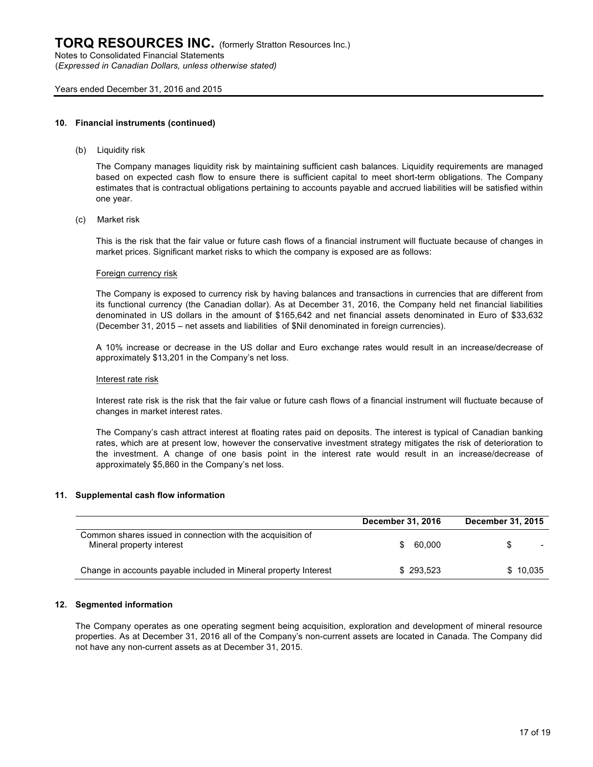#### Years ended December 31, 2016 and 2015

#### **10. Financial instruments (continued)**

(b) Liquidity risk

The Company manages liquidity risk by maintaining sufficient cash balances. Liquidity requirements are managed based on expected cash flow to ensure there is sufficient capital to meet short-term obligations. The Company estimates that is contractual obligations pertaining to accounts payable and accrued liabilities will be satisfied within one year.

#### (c) Market risk

This is the risk that the fair value or future cash flows of a financial instrument will fluctuate because of changes in market prices. Significant market risks to which the company is exposed are as follows:

#### Foreign currency risk

The Company is exposed to currency risk by having balances and transactions in currencies that are different from its functional currency (the Canadian dollar). As at December 31, 2016, the Company held net financial liabilities denominated in US dollars in the amount of \$165,642 and net financial assets denominated in Euro of \$33,632 (December 31, 2015 – net assets and liabilities of \$Nil denominated in foreign currencies).

A 10% increase or decrease in the US dollar and Euro exchange rates would result in an increase/decrease of approximately \$13,201 in the Company's net loss.

#### Interest rate risk

Interest rate risk is the risk that the fair value or future cash flows of a financial instrument will fluctuate because of changes in market interest rates.

The Company's cash attract interest at floating rates paid on deposits. The interest is typical of Canadian banking rates, which are at present low, however the conservative investment strategy mitigates the risk of deterioration to the investment. A change of one basis point in the interest rate would result in an increase/decrease of approximately \$5,860 in the Company's net loss.

#### **11. Supplemental cash flow information**

|                                                                                         | <b>December 31, 2016</b> | December 31, 2015 |
|-----------------------------------------------------------------------------------------|--------------------------|-------------------|
| Common shares issued in connection with the acquisition of<br>Mineral property interest | \$ 60,000                |                   |
| Change in accounts payable included in Mineral property Interest                        | \$293,523                | \$10,035          |

#### **12. Segmented information**

The Company operates as one operating segment being acquisition, exploration and development of mineral resource properties. As at December 31, 2016 all of the Company's non-current assets are located in Canada. The Company did not have any non-current assets as at December 31, 2015.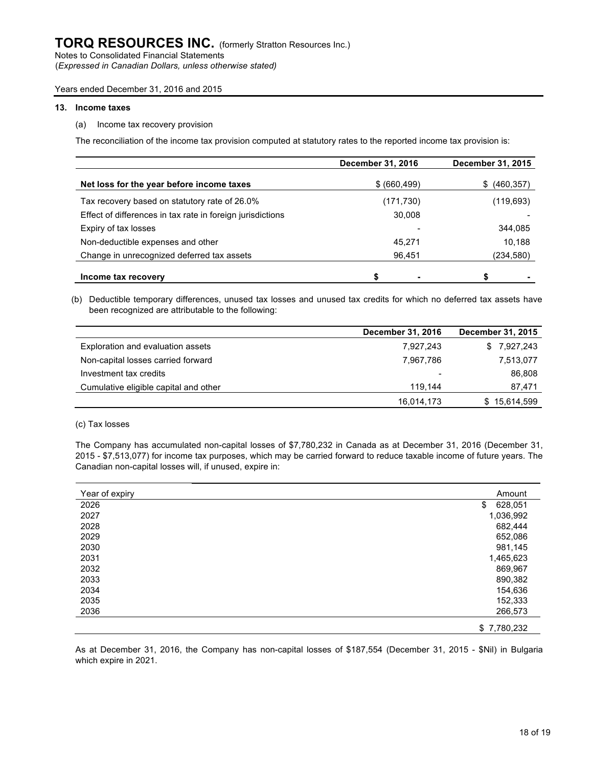#### **TORQ RESOURCES INC.** (formerly Stratton Resources Inc.) Notes to Consolidated Financial Statements

(*Expressed in Canadian Dollars, unless otherwise stated)*

#### Years ended December 31, 2016 and 2015

#### **13. Income taxes**

#### (a) Income tax recovery provision

The reconciliation of the income tax provision computed at statutory rates to the reported income tax provision is:

|                                                            | December 31, 2016 | December 31, 2015 |
|------------------------------------------------------------|-------------------|-------------------|
| Net loss for the year before income taxes                  | \$ (660, 499)     | (460, 357)<br>\$. |
|                                                            |                   |                   |
| Tax recovery based on statutory rate of 26.0%              | (171, 730)        | (119, 693)        |
| Effect of differences in tax rate in foreign jurisdictions | 30,008            |                   |
| Expiry of tax losses                                       |                   | 344,085           |
| Non-deductible expenses and other                          | 45.271            | 10,188            |
| Change in unrecognized deferred tax assets                 | 96,451            | (234,580)         |
| Income tax recovery                                        | \$                | \$                |

#### (b) Deductible temporary differences, unused tax losses and unused tax credits for which no deferred tax assets have been recognized are attributable to the following:

|                                       | <b>December 31, 2016</b> | December 31, 2015 |
|---------------------------------------|--------------------------|-------------------|
| Exploration and evaluation assets     | 7,927,243                | \$7,927,243       |
| Non-capital losses carried forward    | 7,967,786                | 7,513,077         |
| Investment tax credits                | ۰                        | 86,808            |
| Cumulative eligible capital and other | 119.144                  | 87,471            |
|                                       | 16,014,173               | \$15,614,599      |

(c) Tax losses

The Company has accumulated non-capital losses of \$7,780,232 in Canada as at December 31, 2016 (December 31, 2015 - \$7,513,077) for income tax purposes, which may be carried forward to reduce taxable income of future years. The Canadian non-capital losses will, if unused, expire in:

| Year of expiry | Amount        |
|----------------|---------------|
| 2026           | 628,051<br>\$ |
| 2027           | 1,036,992     |
| 2028           | 682,444       |
| 2029           | 652,086       |
| 2030           | 981,145       |
| 2031           | 1,465,623     |
| 2032           | 869,967       |
| 2033           | 890,382       |
| 2034           | 154,636       |
| 2035           | 152,333       |
| 2036           | 266,573       |
|                | \$7,780,232   |

As at December 31, 2016, the Company has non-capital losses of \$187,554 (December 31, 2015 - \$Nil) in Bulgaria which expire in 2021.